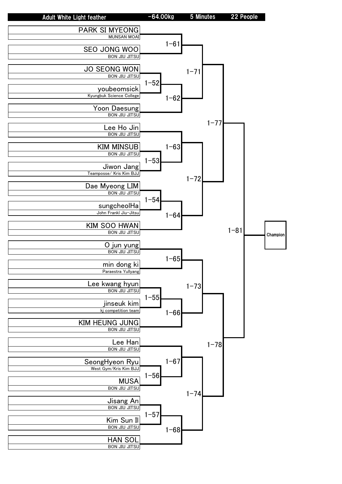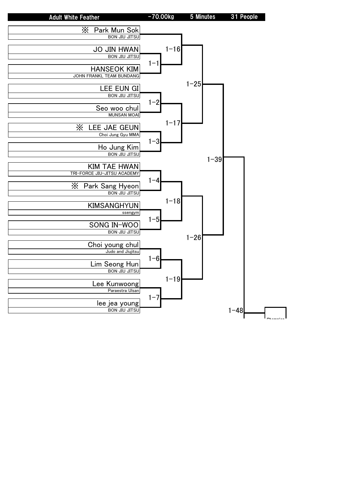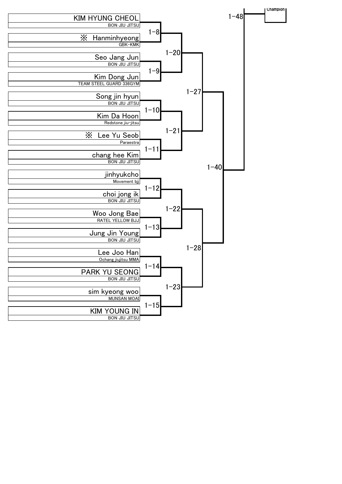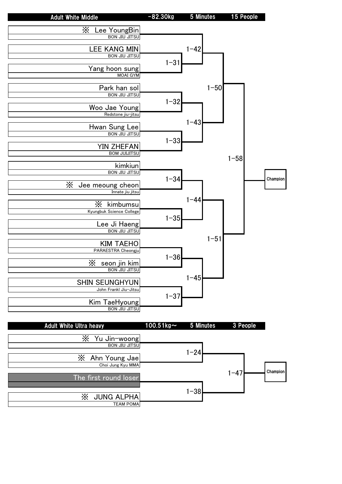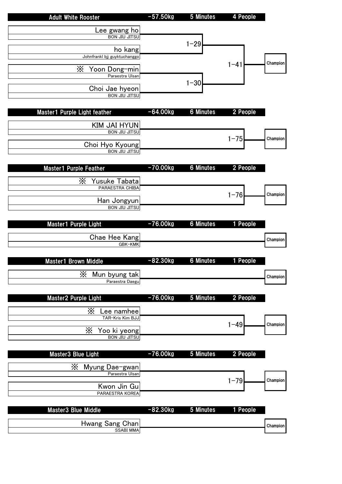| <b>Adult White Rooster</b>                | $-57.50kg$ | 5 Minutes        | 4 People |          |
|-------------------------------------------|------------|------------------|----------|----------|
| Lee gwang ho                              |            |                  |          |          |
| <b>BON JIU JITSU</b>                      |            |                  |          |          |
|                                           |            | $1 - 29$         |          |          |
| ho kang<br>Johnfrankl bjj guyktuchanggo   |            |                  |          |          |
|                                           |            |                  | $1 - 41$ | Champion |
| X<br>Yoon Dong-min                        |            |                  |          |          |
| Paraestra Ulsan                           |            |                  |          |          |
| Choi Jae hyeon                            |            | $1 - 30$         |          |          |
| <b>BON JIU JITSU</b>                      |            |                  |          |          |
|                                           |            |                  |          |          |
| Master1 Purple Light feather              | $-64.00kg$ | <b>6 Minutes</b> | 2 People |          |
|                                           |            |                  |          |          |
| KIM JAI HYUN                              |            |                  |          |          |
| <b>BON JIU JITSU</b>                      |            |                  | $1 - 75$ | Champion |
| Choi Hyo Kyoung                           |            |                  |          |          |
| <b>BON JIU JITSU</b>                      |            |                  |          |          |
|                                           |            |                  |          |          |
| <b>Master1 Purple Feather</b>             | $-70.00kg$ | <b>6 Minutes</b> | 2 People |          |
|                                           |            |                  |          |          |
| X<br>Yusuke Tabata<br>PARAESTRA CHIBA     |            |                  |          |          |
|                                           |            |                  | $1 - 76$ | Champion |
| Han Jongyun                               |            |                  |          |          |
| <b>BON JIU JITSU</b>                      |            |                  |          |          |
|                                           |            |                  |          |          |
| Master1 Purple Light                      | $-76.00kg$ | <b>6 Minutes</b> | 1 People |          |
| Chae Hee Kang                             |            |                  |          |          |
| GBK-KMK                                   |            |                  |          | Champion |
|                                           |            |                  |          |          |
| <b>Master1 Brown Middle</b>               | $-82.30kg$ | <b>6 Minutes</b> | 1 People |          |
|                                           |            |                  |          |          |
| X<br>Mun byung tak                        |            |                  |          | Champion |
| Paraestra Daegu                           |            |                  |          |          |
|                                           |            |                  |          |          |
| Master2 Purple Light                      | $-76.00kg$ | 5 Minutes        | 2 People |          |
| Х<br>Lee namhee                           |            |                  |          |          |
| TAR-Kris Kim BJJ                          |            |                  |          |          |
|                                           |            |                  | $1 - 49$ | Champion |
| X<br>Yoo ki yeong<br><b>BON JIU JITSU</b> |            |                  |          |          |
|                                           |            |                  |          |          |
| Master3 Blue Light                        | $-76.00kg$ | 5 Minutes        | 2 People |          |
|                                           |            |                  |          |          |
| X<br>Myung Dae-gwan                       |            |                  |          |          |
| Paraestra Ulsan                           |            |                  |          |          |
| Kwon Jin Gu                               |            |                  | $1 - 79$ | Champion |
| PARAESTRA KOREA                           |            |                  |          |          |
|                                           |            |                  |          |          |
| Master3 Blue Middle                       | $-82.30kg$ | 5 Minutes        | 1 People |          |
|                                           |            |                  |          |          |
| Hwang Sang Chan                           |            |                  |          | Champion |
| <b>SSABI MMA</b>                          |            |                  |          |          |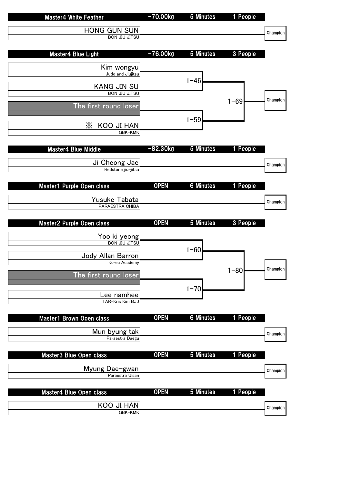| <b>Master4 White Feather</b>               | $-70.00kg$  | 5 Minutes        | 1 People |          |
|--------------------------------------------|-------------|------------------|----------|----------|
| HONG GUN SUN                               |             |                  |          | Champion |
| <b>BON JIU JITSU</b>                       |             |                  |          |          |
| Master4 Blue Light                         | $-76.00kg$  | 5 Minutes        | 3 People |          |
| Kim wongyu                                 |             |                  |          |          |
| Judo and Jiujitsu                          |             | $1 - 46$         |          |          |
| <b>KANG JIN SU</b>                         |             |                  |          |          |
| <b>BON JIU JITSU</b>                       |             |                  | $1 - 69$ | Champion |
| The first round loser                      |             |                  |          |          |
| X<br>KOO JI HAN                            |             | $1 - 59$         |          |          |
| GBK-KMK                                    |             |                  |          |          |
|                                            |             |                  |          |          |
| <b>Master4 Blue Middle</b>                 | $-82.30kg$  | <b>5 Minutes</b> | 1 People |          |
| Ji Cheong Jae<br>Redstone jiu-jitsu        |             |                  |          | Champion |
|                                            |             |                  |          |          |
| Master1 Purple Open class                  | <b>OPEN</b> | <b>6 Minutes</b> | 1 People |          |
| Yusuke Tabata                              |             |                  |          | Champion |
| PARAESTRA CHIBA                            |             |                  |          |          |
|                                            |             |                  |          |          |
| Master2 Purple Open class                  | <b>OPEN</b> | 5 Minutes        | 3 People |          |
|                                            |             |                  |          |          |
| Yoo ki yeong<br><b>BON JIU JITSU</b>       |             |                  |          |          |
| Jody Allan Barron                          |             | $1 - 60$         |          |          |
| Korea Academy                              |             |                  |          | Champion |
| The first round loser                      |             |                  | $1 - 80$ |          |
|                                            |             | $1 - 70$         |          |          |
| <sub>-</sub> ee namhee<br>TAR-Kris Kim BJJ |             |                  |          |          |
|                                            |             |                  |          |          |
| Master1 Brown Open class                   | <b>OPEN</b> | <b>6 Minutes</b> | 1 People |          |
| Mun byung tak<br>Paraestra Daegu           |             |                  |          | Champion |
|                                            |             |                  |          |          |
| Master3 Blue Open class                    | <b>OPEN</b> | 5 Minutes        | 1 People |          |
| Myung Dae-gwan                             |             |                  |          | Champion |
| Paraestra Ulsan                            |             |                  |          |          |
| Master4 Blue Open class                    | <b>OPEN</b> | 5 Minutes        | 1 People |          |
| KOO JI HAN                                 |             |                  |          | Champion |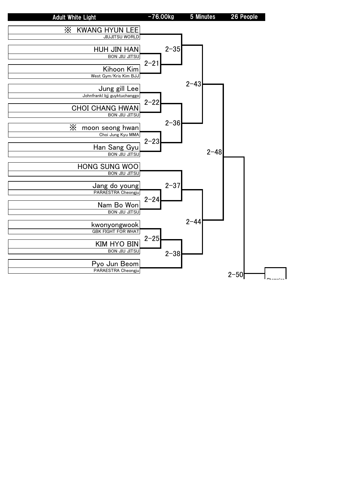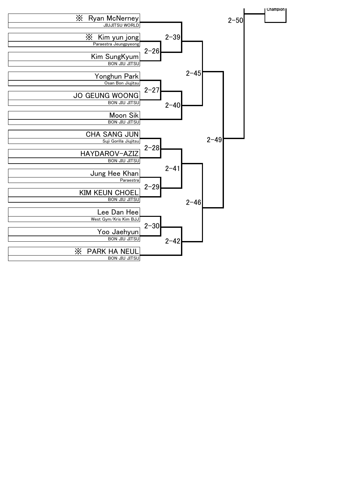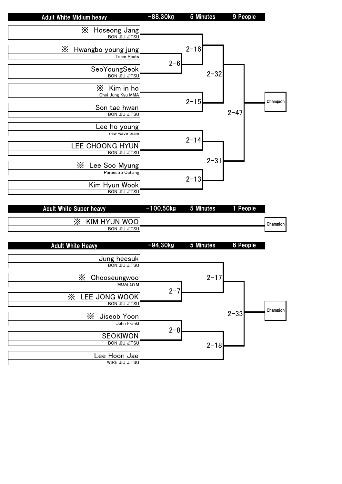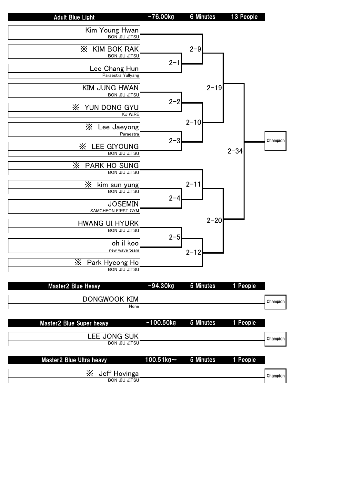| <b>Adult Blue Light</b>                         | $-76.00kg$    | <b>6 Minutes</b> | 13 People |          |
|-------------------------------------------------|---------------|------------------|-----------|----------|
| Kim Young Hwan                                  |               |                  |           |          |
| <b>BON JIU JITSU</b>                            |               |                  |           |          |
|                                                 |               |                  |           |          |
| X<br><b>KIM BOK RAK</b><br><b>BON JIU JITSU</b> |               | $2 - 9$          |           |          |
|                                                 | $2 - 1$       |                  |           |          |
| Lee Chang Hun                                   |               |                  |           |          |
| Paraestra Yullyang                              |               |                  |           |          |
| <b>KIM JUNG HWAN</b>                            |               | $2 - 19$         |           |          |
| <b>BON JIU JITSU</b>                            |               |                  |           |          |
|                                                 | $2 - 2$       |                  |           |          |
| X<br>YUN DONG GYU<br><b>KJ WIRE</b>             |               |                  |           |          |
|                                                 |               | $2 - 10$         |           |          |
| X<br>Lee Jaeyong                                |               |                  |           |          |
| Paraestra                                       |               |                  |           | Champion |
| X<br><b>LEE GIYOUNG</b>                         | $2 - 3$       |                  |           |          |
| <b>BON JIU JITSU</b>                            |               |                  | $2 - 34$  |          |
| Х<br><b>PARK HO SUNG</b>                        |               |                  |           |          |
| <b>BON JIU JITSU</b>                            |               |                  |           |          |
|                                                 |               |                  |           |          |
| X<br>kim sun yung<br><b>BON JIU JITSU</b>       |               | $2 - 11$         |           |          |
|                                                 | $2 - 4$       |                  |           |          |
| <b>JOSEMIN</b>                                  |               |                  |           |          |
| SAMCHEON FIRST GYM                              |               |                  |           |          |
| <b>HWANG UI HYURK</b>                           |               | $2 - 20$         |           |          |
| <b>BON JIU JITSU</b>                            |               |                  |           |          |
|                                                 | $2 - 5$       |                  |           |          |
| oh il koo<br>new wave team                      |               |                  |           |          |
|                                                 |               | $2 - 12$         |           |          |
| X<br>Park Hyeong Ho                             |               |                  |           |          |
| <b>BON JIU JITSU</b>                            |               |                  |           |          |
|                                                 |               |                  |           |          |
| <b>Master2 Blue Heavy</b>                       | $-94.30kg$    | 5 Minutes        | 1 People  |          |
| <b>DONGWOOK KIM</b>                             |               |                  |           | Champion |
| None                                            |               |                  |           |          |
|                                                 |               |                  |           |          |
| Master2 Blue Super heavy                        | $-100.50kg$   | 5 Minutes        | 1 People  |          |
|                                                 |               |                  |           |          |
| LEE JONG SUK<br><b>BON JIU JITSU</b>            |               |                  |           | Champion |
|                                                 |               |                  |           |          |
| Master2 Blue Ultra heavy                        | 100.51 $kg$ ~ | 5 Minutes        | 1 People  |          |
|                                                 |               |                  |           |          |
| X<br>Jeff Hovinga                               |               |                  |           | Champion |
| <b>BON JIU JITSU</b>                            |               |                  |           |          |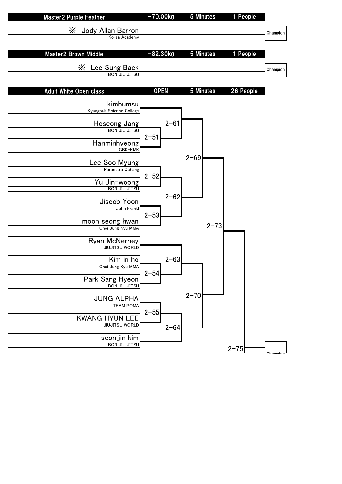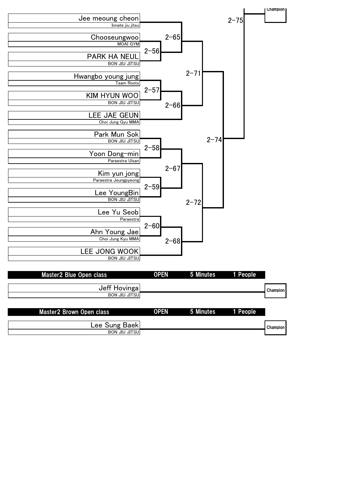

| <b>Masterz Blue Open class</b>  | <b>UPEN</b> | <b>b</b> Minutes   | I Reopie |                 |
|---------------------------------|-------------|--------------------|----------|-----------------|
| Jeff Hovinga                    |             |                    |          | <b>Champion</b> |
| <b>BON JIU JITSU</b>            |             |                    |          |                 |
| <b>Master2 Brown Open class</b> | <b>OPEN</b> | 5 Minutes 1 People |          |                 |
|                                 |             |                    |          |                 |
| Lee Sung Baek                   |             |                    |          | <b>Champion</b> |

BON JIU JITSU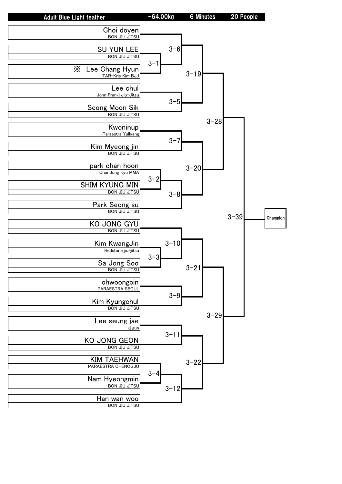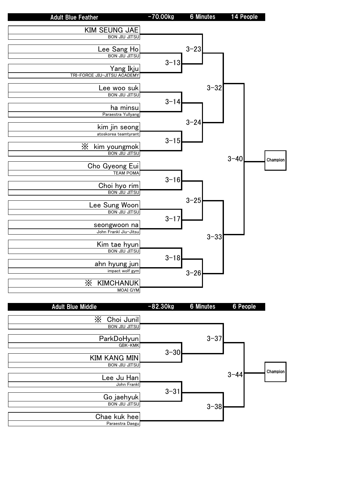| <b>Adult Blue Feather</b>             | $-70.00kg$ | 6 Minutes | 14 People |          |
|---------------------------------------|------------|-----------|-----------|----------|
| <b>KIM SEUNG JAE</b>                  |            |           |           |          |
| <b>BON JIU JITSU</b>                  |            |           |           |          |
| Lee Sang Ho                           |            | $3 - 23$  |           |          |
| <b>BON JIU JITSU</b>                  |            |           |           |          |
| Yang Ikju                             | $3 - 13$   |           |           |          |
| TRI-FORCE JIU-JITSU ACADEMY           |            |           |           |          |
|                                       |            |           |           |          |
| Lee woo suk<br><b>BON JIU JITSU</b>   |            | $3 - 32$  |           |          |
|                                       | $3 - 14$   |           |           |          |
| ha minsu                              |            |           |           |          |
| Paraestra Yullyang                    |            | $3 - 24$  |           |          |
| kim jin seong                         |            |           |           |          |
| atoskorea teamtyrant                  | $3 - 15$   |           |           |          |
| $\times$<br>kim youngmok              |            |           |           |          |
| <b>BON JIU JITSU</b>                  |            |           | $3 - 40$  | Champion |
| Cho Gyeong Eui                        |            |           |           |          |
| <b>TEAM POMA</b>                      |            |           |           |          |
| Choi hyo rim                          | $3 - 16$   |           |           |          |
| <b>BON JIU JITSU</b>                  |            |           |           |          |
| Lee Sung Woon                         |            | $3 - 25$  |           |          |
| <b>BON JIU JITSU</b>                  |            |           |           |          |
|                                       | $3 - 17$   |           |           |          |
| seongwoon na<br>John Frankl Jiu-Jitsu |            |           |           |          |
|                                       |            | $3 - 33$  |           |          |
| Kim tae hyun<br><b>BON JIU JITSU</b>  |            |           |           |          |
|                                       | $3 - 18$   |           |           |          |
| ahn hyung jun                         |            |           |           |          |
| impact wolf gym                       |            | $3 - 26$  |           |          |
| X<br><b>KIMCHANUK</b>                 |            |           |           |          |
| <b>MOAI GYM</b>                       |            |           |           |          |

| <b>Adult Blue Middle</b> | $-82.30kg$              | <b>6 Minutes</b> | 6 People |          |
|--------------------------|-------------------------|------------------|----------|----------|
| X<br>Choi Junil          |                         |                  |          |          |
| <b>BON JIU JITSU</b>     |                         |                  |          |          |
| ParkDoHyun               |                         | $3 - 37$         |          |          |
|                          | GBK-KMK<br>$3 - 30$     |                  |          |          |
| <b>KIM KANG MIN</b>      |                         |                  |          |          |
| <b>BON JIU JITSU</b>     |                         |                  |          | Champion |
| Lee Ju Han               |                         |                  | $3 - 44$ |          |
|                          | John Frankl<br>$3 - 31$ |                  |          |          |
| Go jaehyuk               |                         |                  |          |          |
| <b>BON JIU JITSU</b>     |                         | $3 - 38$         |          |          |
| Chae kuk hee             |                         |                  |          |          |
| Paraestra Daegu          |                         |                  |          |          |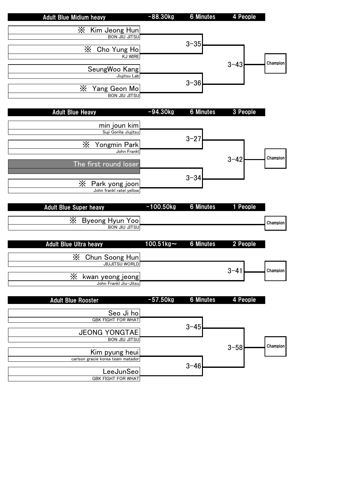|                                                | $-88.30kg$    | <b>6 Minutes</b> | 4 People |          |
|------------------------------------------------|---------------|------------------|----------|----------|
| X<br>Kim Jeong Hun                             |               |                  |          |          |
| <b>BON JIU JITSU</b>                           |               |                  |          |          |
| $\times$<br>Cho Yung Ho                        |               | $3 - 35$         |          |          |
| <b>KJ WIRE</b>                                 |               |                  |          |          |
|                                                |               |                  | $3 - 43$ | Champion |
| SeungWoo Kang<br>Jiujitsu Lab                  |               |                  |          |          |
|                                                |               | $3 - 36$         |          |          |
| X<br>Yang Geon Mo<br><b>BON JIU JITSU</b>      |               |                  |          |          |
|                                                |               |                  |          |          |
| <b>Adult Blue Heavy</b>                        | $-94.30kg$    | <b>6 Minutes</b> | 3 People |          |
|                                                |               |                  |          |          |
| min joun kim<br>Suji Gorilla Jiujitsu          |               |                  |          |          |
|                                                |               | $3 - 27$         |          |          |
| X<br>Yongmin Park<br>John Frankl               |               |                  |          |          |
|                                                |               |                  | $3 - 42$ | Champion |
| The first round loser                          |               |                  |          |          |
|                                                |               | $3 - 34$         |          |          |
| Х<br>Park yong joon                            |               |                  |          |          |
| John frankl ratel yellow                       |               |                  |          |          |
| <b>Adult Blue Super heavy</b>                  | $-100.50kg$   | <b>6 Minutes</b> | 1 People |          |
|                                                |               |                  |          |          |
| Х<br>Byeong Hyun Yoo<br><b>BON JIU JITSU</b>   |               |                  |          | Champion |
|                                                |               |                  |          |          |
| <b>Adult Blue Ultra heavy</b>                  | 100.51 $kg$ ~ | <b>6 Minutes</b> | 2 People |          |
| Х<br>Chun Soong Hun                            |               |                  |          |          |
| <b>JIUJITSU WORLD</b>                          |               |                  |          |          |
| X<br>kwan yeong jeong                          |               |                  | $3 - 41$ | Champion |
|                                                |               |                  |          |          |
| John Frankl Jiu-Jitsu                          |               |                  |          |          |
|                                                |               |                  |          |          |
| <b>Adult Blue Rooster</b>                      | $-57.50kg$    | <b>6 Minutes</b> | 4 People |          |
|                                                |               |                  |          |          |
| Seo Ji ho<br><b>GBK FIGHT FOR WHAT</b>         |               |                  |          |          |
|                                                |               | $3 - 45$         |          |          |
| <b>JEONG YONGTAE</b><br><b>BON JIU JITSU</b>   |               |                  |          |          |
|                                                |               |                  | $3 - 58$ | Champion |
| Kim pyung heui                                 |               |                  |          |          |
| carlson gracie korea team matador<br>LeeJunSeo |               | $3 - 46$         |          |          |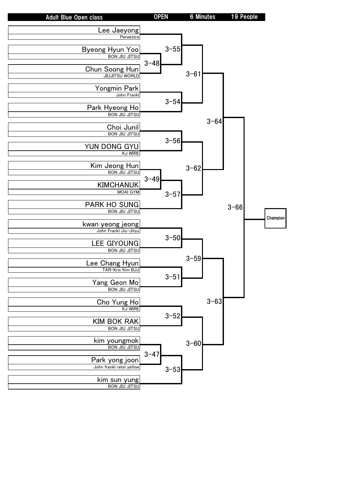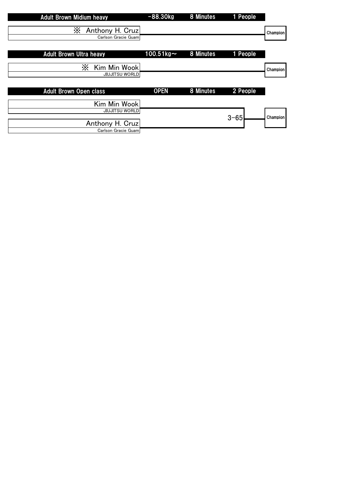| <b>Adult Brown Midium heavy</b>             | $-88.30kg$   | 8 Minutes | 1 People |          |
|---------------------------------------------|--------------|-----------|----------|----------|
| Х<br>Anthony H. Cruz<br>Carlson Gracie Guam |              |           |          | Champion |
| <b>Adult Brown Ultra heavy</b>              | $100.51$ kg~ | 8 Minutes | 1 People |          |
| Х<br>Kim Min Wook<br><b>JIUJITSU WORLD</b>  |              |           |          | Champion |
| <b>Adult Brown Open class</b>               | <b>OPEN</b>  | 8 Minutes | 2 People |          |
| Kim Min Wook                                |              |           |          |          |
| <b>JIUJITSU WORLD</b><br>Anthony H. Cruz    |              |           | $3 - 65$ | Champion |
| Carlson Gracie Guam                         |              |           |          |          |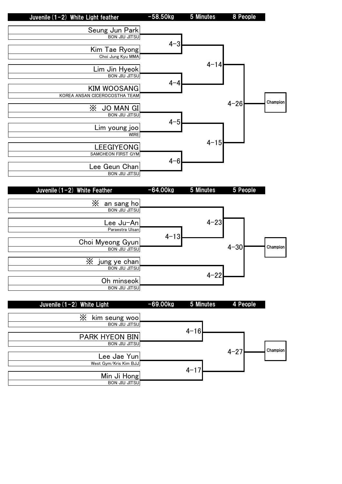

Min Ji Hong BON JIU JITSU  $4 - 17$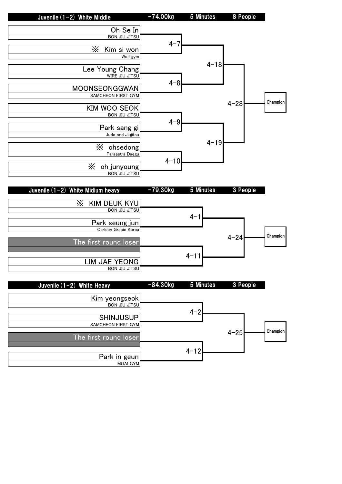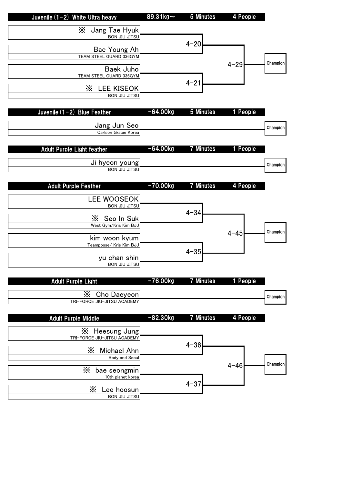|          | 4 People | 5 Minutes        | 89.31kg~   | Juvenile (1-2) White Ultra heavy                |
|----------|----------|------------------|------------|-------------------------------------------------|
|          |          |                  |            | X Jang Tae Hyuk                                 |
|          |          |                  |            | <b>BON JIU JITSU</b>                            |
|          |          | $4 - 20$         |            | Bae Young Ah                                    |
|          |          |                  |            | TEAM STEEL GUARD 336GYM                         |
| Champion | $4 - 29$ |                  |            | <b>Baek Juho</b>                                |
|          |          |                  |            | TEAM STEEL GUARD 336GYM                         |
|          |          | $4 - 21$         |            | X LEE KISEOK                                    |
|          |          |                  |            | <b>BON JIU JITSU</b>                            |
|          |          |                  |            |                                                 |
|          | 1 People | 5 Minutes        | $-64.00kg$ | Juvenile $(1-2)$ Blue Feather                   |
|          |          |                  |            | Jang Jun Seo                                    |
| Champion |          |                  |            | Carlson Gracie Korea                            |
|          |          |                  |            |                                                 |
|          | 1 People | <b>7 Minutes</b> | $-64.00kg$ | <b>Adult Purple Light feather</b>               |
|          |          |                  |            | Ji hyeon young                                  |
| Champion |          |                  |            | <b>BON JIU JITSU</b>                            |
|          |          |                  |            |                                                 |
|          | 4 People | <b>7 Minutes</b> | $-70.00kg$ | <b>Adult Purple Feather</b>                     |
|          |          |                  |            | <b>LEE WOOSEOK</b>                              |
|          |          |                  |            | <b>BON JIU JITSU</b>                            |
|          |          | $4 - 34$         |            | X Seo In Suk                                    |
|          |          |                  |            | West Gym/Kris Kim BJJ                           |
| Champion | $4 - 45$ |                  |            | kim woon kyum                                   |
|          |          |                  |            | Teamposse/ Kris Kim BJJ                         |
|          |          | $4 - 35$         |            |                                                 |
|          |          |                  |            | yu chan shin<br><b>BON JIU JITSU</b>            |
|          |          |                  |            |                                                 |
|          | 1 People | <b>7 Minutes</b> | $-76.00kg$ | <b>Adult Purple Light</b>                       |
|          |          |                  |            |                                                 |
| Champion |          |                  |            | Χ<br>Cho Daeyeon<br>TRI-FORCE JIU-JITSU ACADEMY |
|          |          |                  |            |                                                 |
|          | 4 People | <b>7 Minutes</b> | $-82.30kg$ | <b>Adult Purple Middle</b>                      |
|          |          |                  |            | X Heesung Jung                                  |
|          |          |                  |            | TRI-FORCE JIU-JITSU ACADEMY                     |
|          |          | $4 - 36$         |            |                                                 |
|          |          |                  |            | Х<br>Michael Ahn<br><b>Body and Seoul</b>       |
| Champion | $4 - 46$ |                  |            |                                                 |
|          |          |                  |            | X<br>bae seongmin<br>10th planet korea          |
|          |          | $4 - 37$         |            |                                                 |
|          |          |                  |            | X<br>Lee hoosun<br><b>BON JIU JITSU</b>         |
|          |          |                  |            |                                                 |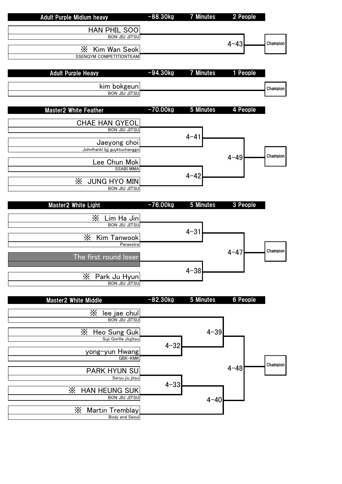|          | 2 People | <b>7 Minutes</b> | $-88.30kg$ | <b>Adult Purple Midium heavy</b>                 |
|----------|----------|------------------|------------|--------------------------------------------------|
|          |          |                  |            | <b>HAN PHIL SOO</b>                              |
|          |          |                  |            | <b>BON JIU JITSU</b>                             |
| Champion | $4 - 43$ |                  |            |                                                  |
|          |          |                  |            | Ж<br>Kim Wan Seok<br>SSENGYM COMPETITIONTEAM     |
|          |          |                  |            |                                                  |
|          | 1 People | <b>7 Minutes</b> | $-94.30kg$ | <b>Adult Purple Heavy</b>                        |
|          |          |                  |            |                                                  |
| Champion |          |                  |            | kim bokgeun                                      |
|          |          |                  |            | <b>BON JIU JITSU</b>                             |
|          |          |                  |            |                                                  |
|          | 4 People | 5 Minutes        | $-70.00kg$ | <b>Master2 White Feather</b>                     |
|          |          |                  |            | <b>CHAE HAN GYEOL</b>                            |
|          |          |                  |            | <b>BON JIU JITSU</b>                             |
|          |          | $4 - 41$         |            | Jaeyong choi                                     |
|          |          |                  |            | Johnfrankl bjj guyktuchanggo                     |
| Champion | $4 - 49$ |                  |            |                                                  |
|          |          |                  |            | Lee Chun Mok<br><b>SSABI MMA</b>                 |
|          |          | $4 - 42$         |            |                                                  |
|          |          |                  |            | Χ<br><b>JUNG HYO MIN</b>                         |
|          |          |                  |            | <b>BON JIU JITSU</b>                             |
|          | 3 People | 5 Minutes        | $-76.00kg$ | <b>Master2 White Light</b>                       |
|          |          |                  |            |                                                  |
|          |          |                  |            | X<br>Lim Ha Jin                                  |
|          |          | $4 - 31$         |            | <b>BON JIU JITSU</b>                             |
|          |          |                  |            | X<br>Kim Tanwook                                 |
|          |          |                  |            | Paraestra                                        |
| Champion | $4 - 47$ |                  |            | The first round loser                            |
|          |          |                  |            |                                                  |
|          |          | $4 - 38$         |            |                                                  |
|          |          |                  |            | $\times$<br>Park Ju Hyun<br><b>BON JIU JITSU</b> |
|          |          |                  |            |                                                  |
|          | 6 People | 5 Minutes        | $-82.30kg$ | <b>Master2 White Middle</b>                      |
|          |          |                  |            |                                                  |
|          |          |                  |            | Х<br>lee jae chul<br>BON JIU JITSU               |
|          |          |                  |            |                                                  |
|          |          | $4 - 39$         |            | Х<br>Heo Sung Guk<br>Suji Gorilla Jiujitsu       |
|          |          |                  | $4 - 32$   |                                                  |
|          |          |                  |            | yong-yun Hwang                                   |
| Champion |          |                  |            | GBK-KMK                                          |
|          | $4 - 48$ |                  |            | <b>PARK HYUN SU</b>                              |
|          |          |                  |            | Seryu jiu jitsu                                  |
|          |          |                  | $4 - 33$   |                                                  |
|          |          |                  |            |                                                  |
|          |          |                  |            | X<br>HAN HEUNG SUK<br><b>BON JIU JITSU</b>       |
|          |          | $4 - 40$         |            |                                                  |
|          |          |                  |            | Χ<br>Martin Tremblay<br>Body and Seoul           |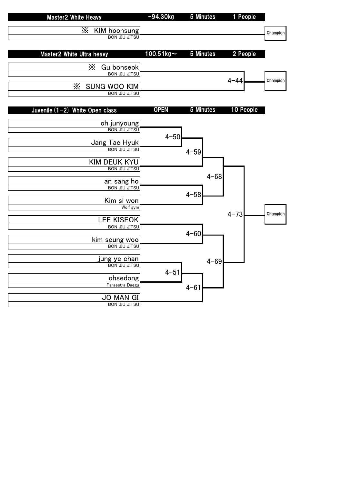|          | 1 People  | 5 Minutes | $-94.30kg$         | <b>Master2 White Heavy</b>                       |
|----------|-----------|-----------|--------------------|--------------------------------------------------|
|          |           |           |                    | $\times$<br>KIM hoonsung                         |
| Champion |           |           |                    | <b>BON JIU JITSU</b>                             |
|          |           |           |                    |                                                  |
|          | 2 People  | 5 Minutes | $100.51$ kg $\sim$ | Master2 White Ultra heavy                        |
|          |           |           |                    | Χ<br>Gu bonseok                                  |
|          |           |           |                    | <b>BON JIU JITSU</b>                             |
| Champion | $4 - 44$  |           |                    |                                                  |
|          |           |           |                    | X<br><b>SUNG WOO KIM</b><br><b>BON JIU JITSU</b> |
|          |           |           |                    |                                                  |
|          | 10 People | 5 Minutes | <b>OPEN</b>        | Juvenile (1-2) White Open class                  |
|          |           |           |                    |                                                  |
|          |           |           |                    | oh junyoung<br>BON JIU JITSU                     |
|          |           |           | $4 - 50$           |                                                  |
|          |           |           |                    | Jang Tae Hyuk                                    |
|          |           | $4 - 59$  |                    |                                                  |
|          |           |           |                    | <b>KIM DEUK KYU</b>                              |
|          |           |           |                    | <b>BON JIU JITSU</b>                             |
|          |           | $4 - 68$  |                    |                                                  |
|          |           |           |                    | an sang ho<br><b>BON JIU JITSU</b>               |
|          |           | $4 - 58$  |                    |                                                  |
|          |           |           |                    | Kim si won                                       |
| Champion | $4 - 73$  |           |                    | Wolf gym                                         |
|          |           |           |                    | <b>LEE KISEOK</b>                                |
|          |           |           |                    | <b>BON JIU JITSU</b>                             |
|          |           | $4 - 60$  |                    |                                                  |
|          |           |           |                    | kim seung woo<br>BON JIU JITSU                   |
|          |           |           |                    |                                                  |
|          |           | $4 - 69$  |                    | jung ye chan<br><b>BON JIU JITSU</b>             |
|          |           |           | $4 - 51$           |                                                  |
|          |           |           |                    | ohsedong                                         |
|          |           | $4 - 61$  |                    | Paraestra Daegu                                  |
|          |           |           |                    | <b>JO MAN GI</b>                                 |
|          |           |           |                    | <b>BON JIU JITSU</b>                             |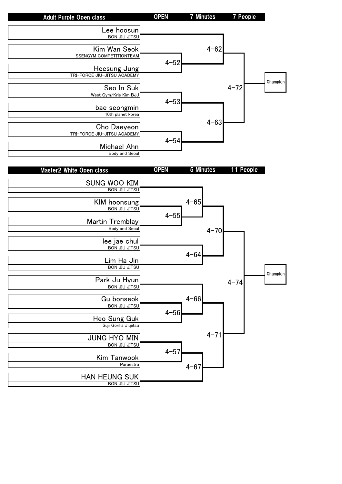| <b>Adult Purple Open class</b>             | <b>OPEN</b> | <b>7 Minutes</b> | <b>7 People</b> |          |
|--------------------------------------------|-------------|------------------|-----------------|----------|
|                                            |             |                  |                 |          |
| Lee hoosun                                 |             |                  |                 |          |
| <b>BON JIU JITSU</b>                       |             |                  |                 |          |
|                                            |             |                  |                 |          |
| Kim Wan Seok                               |             | $4 - 62$         |                 |          |
| <b>SSENGYM COMPETITIONTEAM</b>             |             |                  |                 |          |
|                                            | $4 - 52$    |                  |                 |          |
| Heesung Jung                               |             |                  |                 |          |
| TRI-FORCE JIU-JITSU ACADEMY                |             |                  |                 |          |
|                                            |             |                  | $4 - 72$        | Champion |
| Seo In Suk                                 |             |                  |                 |          |
| West Gym/Kris Kim BJJ                      |             |                  |                 |          |
|                                            | $4 - 53$    |                  |                 |          |
| bae seongmin                               |             |                  |                 |          |
| 10th planet korea                          |             |                  |                 |          |
|                                            |             | $4 - 63$         |                 |          |
| Cho Daeyeon<br>TRI-FORCE JIU-JITSU ACADEMY |             |                  |                 |          |
|                                            |             |                  |                 |          |
| Michael Ahn                                | $4 - 54$    |                  |                 |          |
| <b>Body and Seoul</b>                      |             |                  |                 |          |
|                                            |             |                  |                 |          |
|                                            |             |                  |                 |          |
| Master2 White Open class                   | <b>OPEN</b> | 5 Minutes        | 11 People       |          |
|                                            |             |                  |                 |          |
| <b>SUNG WOO KIM</b>                        |             |                  |                 |          |
| <b>BON JIU JITSU</b>                       |             |                  |                 |          |
|                                            |             |                  |                 |          |
| KIM hoonsung                               |             | $4 - 65$         |                 |          |
| <b>BON JIU JITSU</b>                       |             |                  |                 |          |
|                                            | $4 - 55$    |                  |                 |          |
| Martin Tremblay                            |             |                  |                 |          |
| Body and Seoul                             |             | $4 - 70$         |                 |          |
| lee jae chul                               |             |                  |                 |          |
| <b>BON JIU JITSU</b>                       |             |                  |                 |          |
|                                            |             | $4 - 64$         |                 |          |
| Lim Ha Jin                                 |             |                  |                 |          |
| <b>BON JIU JITSU</b>                       |             |                  |                 |          |
|                                            |             |                  |                 | Champion |
| Park Ju Hyun                               |             |                  |                 |          |
| <b>BON JIU JITSU</b>                       |             |                  | $4 - 74$        |          |
|                                            |             |                  |                 |          |
| Gu bonseok                                 |             | $4 - 66$         |                 |          |
| <b>BON JIU JITSU</b>                       |             |                  |                 |          |
|                                            | $4 - 56$    |                  |                 |          |
| Heo Sung Guk                               |             |                  |                 |          |
| Suji Gorilla Jiujitsu                      |             |                  |                 |          |
|                                            |             |                  |                 |          |
| <b>JUNG HYO MIN</b>                        |             | $4 - 71$         |                 |          |
| <b>BON JIU JITSU</b>                       |             |                  |                 |          |
|                                            | $4 - 57$    |                  |                 |          |
| Kim Tanwook                                |             |                  |                 |          |
| Paraestra                                  |             | $4 - 67$         |                 |          |
|                                            |             |                  |                 |          |
| HAN HEUNG SUK                              |             |                  |                 |          |
| <b>BON JIU JITSU</b>                       |             |                  |                 |          |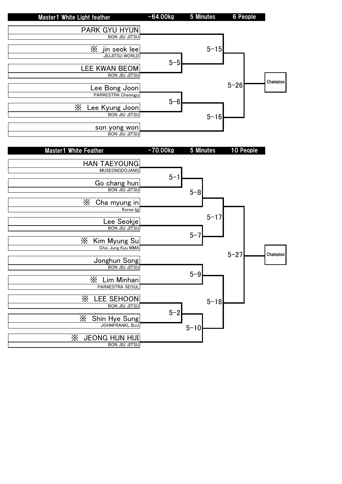

 $5 - 10$ 

※ Shin Hye Sung JOHNFRANKL BJJ

※ JEONG HUN HUI BON JIU JITSU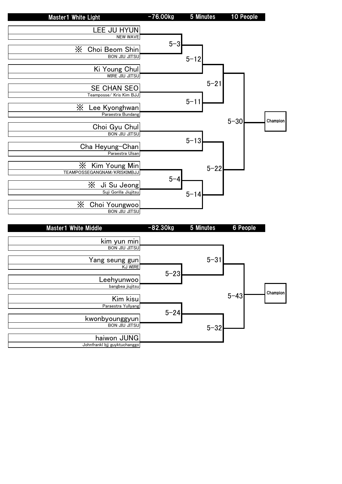

|          | 6 People | 5 Minutes | $-82.30kg$ | <b>Master1 White Middle</b>  |
|----------|----------|-----------|------------|------------------------------|
|          |          |           |            |                              |
|          |          |           |            | kim yun min                  |
|          |          |           |            | <b>BON JIU JITSU</b>         |
|          |          |           |            |                              |
|          |          | $5 - 31$  |            | Yang seung gun               |
|          |          |           |            | <b>KJ WIRE</b>               |
|          |          |           | $5 - 23$   |                              |
|          |          |           |            | Leehyunwoo                   |
|          |          |           |            | bangbea jiujitsu             |
| Champion |          |           |            |                              |
|          | $5 - 43$ |           |            | Kim kisu                     |
|          |          |           |            | Paraestra Yullyang           |
|          |          |           | $5 - 24$   |                              |
|          |          |           |            | kwonbyounggyun               |
|          |          | $5 - 32$  |            | <b>BON JIU JITSU</b>         |
|          |          |           |            |                              |
|          |          |           |            | haiwon JUNG                  |
|          |          |           |            | Johnfrankl bjj guyktuchanggo |
|          |          |           |            |                              |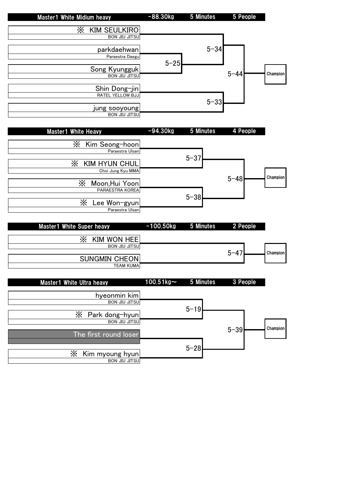|          | 5 People | 5 Minutes | $-88.30kg$ | <b>Master1 White Midium heavy</b> |
|----------|----------|-----------|------------|-----------------------------------|
|          |          |           |            | Χ<br><b>KIM SEULKIRO</b>          |
|          |          |           |            | <b>BON JIU JITSU</b>              |
|          |          | $5 - 34$  |            | parkdaehwan                       |
|          |          |           | $5 - 25$   | Paraestra Daegu                   |
| Champion | $5 - 44$ |           |            | Song Kyungguk                     |
|          |          |           |            | <b>BON JIU JITSU</b>              |
|          |          |           |            | Shin Dong-jin                     |
|          |          | $5 - 33$  |            | RATEL YELLOW BJJ                  |
|          |          |           |            | jung sooyoung                     |
|          |          |           |            | <b>BON JIU JITSU</b>              |
|          |          |           |            |                                   |

| <b>Master1 White Heavy</b> | $-94.30kg$ | 5 Minutes | 4 People |          |
|----------------------------|------------|-----------|----------|----------|
| X<br>Kim Seong-hoon        |            |           |          |          |
| Paraestra Ulsan            |            |           |          |          |
| Х<br><b>KIM HYUN CHUL</b>  |            | $5 - 37$  |          |          |
| Choi Jung Kyu MMA          |            |           |          |          |
| Χ<br>Moon, Hui Yoon        |            |           | $5 - 48$ | Champion |
| PARAESTRA KOREA            |            | $5 - 38$  |          |          |
| Χ<br>Lee Won-gyun          |            |           |          |          |
| Paraestra Ulsan            |            |           |          |          |

| Master1 White Super heavy | $-100.50$ kg 5 Minutes | <b>2 People</b> |                 |
|---------------------------|------------------------|-----------------|-----------------|
| <b>KIM WON HEEI</b>       |                        |                 |                 |
| <b>BON JIU JITSU</b>      |                        | $5 - 47$        | <b>Champion</b> |
| <b>SUNGMIN CHEON</b>      |                        |                 |                 |
| <b>TEAM KUMA</b>          |                        |                 |                 |

|          | 3 People |          | 5 Minutes | $100.5$ 1 kg $\sim$ | <b>Master1 White Ultra heavy</b> |
|----------|----------|----------|-----------|---------------------|----------------------------------|
|          |          |          |           |                     | hyeonmin kim                     |
|          |          |          | $5 - 19$  |                     | <b>BON JIU JITSU</b>             |
|          |          |          |           |                     | $X$ Park dong-hyun               |
| Champion |          | $5 - 39$ |           |                     | <b>BON JIU JITSU</b>             |
|          |          |          |           |                     | The first round loser            |
|          |          |          | $5 - 28$  |                     |                                  |
|          |          |          |           |                     | Χ<br>Kim myoung hyun             |
|          |          |          |           |                     | <b>BON JIU JITSU</b>             |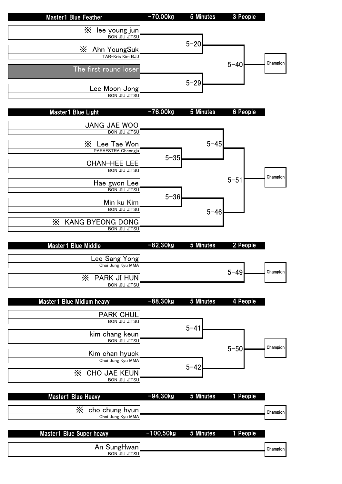| <b>Master1 Blue Feather</b>                          | $-70.00kg$  | 5 Minutes        | 3 People |          |
|------------------------------------------------------|-------------|------------------|----------|----------|
| X<br><u>lee young jun</u>                            |             |                  |          |          |
| <b>BON JIU JITSU</b>                                 |             |                  |          |          |
| Х<br>Ahn YoungSuk                                    |             | $5 - 20$         |          |          |
| TAR-Kris Kim BJJ                                     |             |                  | $5 - 40$ | Champion |
| The first round loser                                |             |                  |          |          |
|                                                      |             | $5 - 29$         |          |          |
| Lee Moon Jong<br><b>BON JIU JITSU</b>                |             |                  |          |          |
|                                                      |             |                  |          |          |
| Master1 Blue Light                                   | $-76.00kg$  | 5 Minutes        | 6 People |          |
| JANG JAE WOO                                         |             |                  |          |          |
| <b>BON JIU JITSU</b>                                 |             |                  |          |          |
| X<br>Lee Tae Won                                     |             | $5 - 45$         |          |          |
| PARAESTRA Cheongju                                   | $5 - 35$    |                  |          |          |
| <b>CHAN-HEE LEE</b>                                  |             |                  |          |          |
| <b>BON JIU JITSU</b>                                 |             |                  |          | Champion |
| Hae gwon Lee                                         |             |                  | $5 - 51$ |          |
| <b>BON JIU JITSU</b>                                 | $5 - 36$    |                  |          |          |
| Min ku Kim<br><b>BON JIU JITSU</b>                   |             |                  |          |          |
|                                                      |             | $5 - 46$         |          |          |
| X<br><b>KANG BYEONG DONG</b><br><b>BON JIU JITSU</b> |             |                  |          |          |
|                                                      |             |                  |          |          |
| <b>Master1 Blue Middle</b>                           | $-82.30kg$  | 5 Minutes        | 2 People |          |
| Lee Sang Yong                                        |             |                  |          |          |
| Choi Jung Kyu MMA                                    |             |                  | $5 - 49$ | Champion |
| X PARK JI HUN                                        |             |                  |          |          |
| <b>BON JIU JITSU</b>                                 |             |                  |          |          |
| Master1 Blue Midium heavy                            | $-88.30kg$  | 5 Minutes        | 4 People |          |
| <b>PARK CHUL</b>                                     |             |                  |          |          |
| <b>BON JIU JITSU</b>                                 |             |                  |          |          |
| kim chang keun                                       |             | $5 - 41$         |          |          |
| <b>BON JIU JITSU</b>                                 |             |                  |          |          |
| Kim chan hyuck                                       |             |                  | $5 - 50$ | Champion |
| Choi Jung Kyu MMA                                    |             |                  |          |          |
| X<br>CHO JAE KEUN                                    |             | $5 - 42$         |          |          |
| <b>BON JIU JITSU</b>                                 |             |                  |          |          |
| <b>Master1 Blue Heavy</b>                            | $-94.30kg$  | 5 Minutes        | 1 People |          |
|                                                      |             |                  |          |          |
| $X$ cho chung hyun<br>Choi Jung Kyu MMA              |             |                  |          | Champion |
|                                                      |             |                  |          |          |
|                                                      |             |                  |          |          |
| <b>Master1 Blue Super heavy</b>                      | $-100.50kg$ | <b>5 Minutes</b> | 1 People |          |
| An SungHwan                                          |             |                  |          | Champion |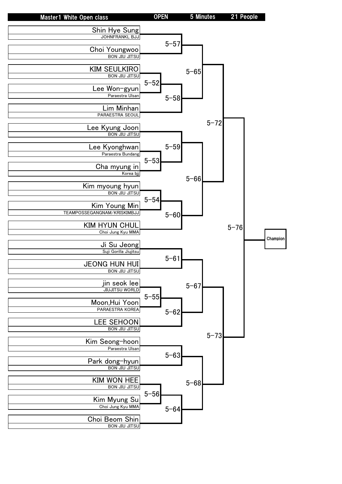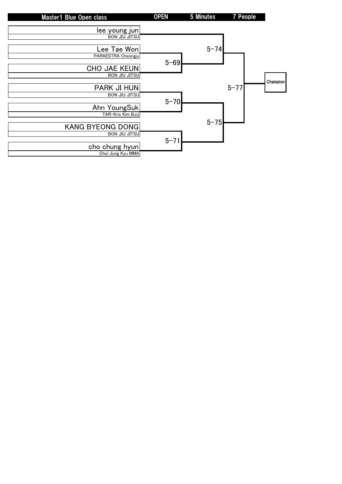| Master1 Blue Open class | <b>OPEN</b> | 5 Minutes | 7 People |                 |
|-------------------------|-------------|-----------|----------|-----------------|
| lee young jun           |             |           |          |                 |
| <b>BON JIU JITSU</b>    |             |           |          |                 |
| Lee Tae Won             |             | $5 - 74$  |          |                 |
| PARAESTRA Cheongju      | $5 - 69$    |           |          |                 |
| CHO JAE KEUN            |             |           |          |                 |
| <b>BON JIU JITSU</b>    |             |           |          | <b>Champion</b> |
| <b>PARK JI HUN</b>      |             |           | $5 - 77$ |                 |
| <b>BON JIU JITSU</b>    | $5 - 70$    |           |          |                 |
| Ahn YoungSuk            |             |           |          |                 |
| TAR-Kris Kim BJJ        |             |           |          |                 |
| <b>KANG BYEONG DONG</b> |             | $5 - 75$  |          |                 |
| <b>BON JIU JITSU</b>    |             |           |          |                 |
| cho chung hyun          | $5 - 71$    |           |          |                 |
| Choi Jung Kyu MMA       |             |           |          |                 |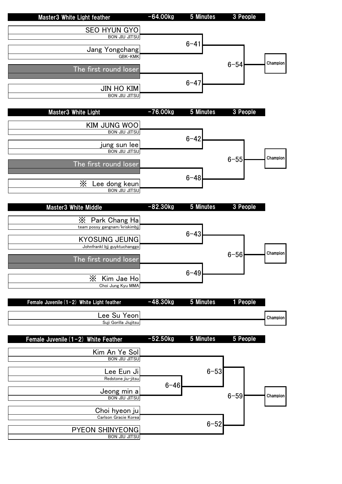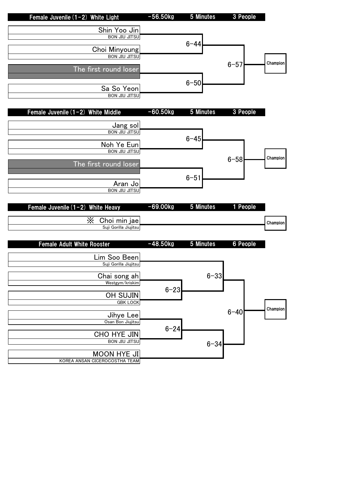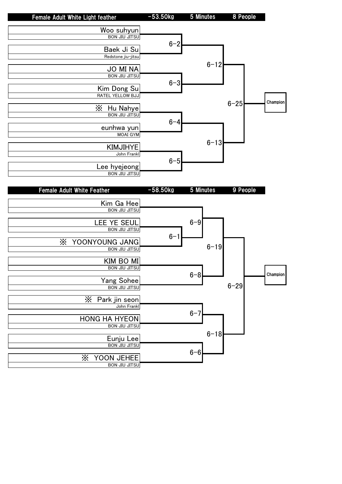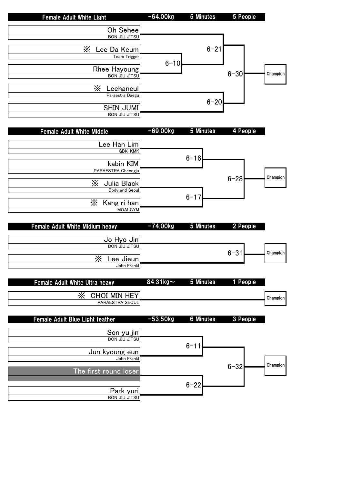| <b>Female Adult White Light</b> | $-64.00kg$ | 5 Minutes | 5 People |          |
|---------------------------------|------------|-----------|----------|----------|
| Oh Seheel                       |            |           |          |          |
| <b>BON JIU JITSU</b>            |            |           |          |          |
| Х<br>Lee Da Keum                |            | $6 - 21$  |          |          |
| Team Trigger                    | $6 - 10$   |           |          |          |
| Rhee Hayoung                    |            |           | $6 - 30$ | Champion |
| <b>BON JIU JITSU</b>            |            |           |          |          |

| <b>BON JIU JITSU</b> | ו∪ט⊤ט |
|----------------------|-------|
|                      |       |
| Ж<br>Leehaneul       |       |
| Paraestra Daegu      |       |
| $6 - 20$             |       |
| <b>SHIN JUMI</b>     |       |
| <b>BON JIU JITSU</b> |       |

 $\overline{\phantom{a}}$ 

| <b>Female Adult White Middle</b> | $-69.00kg$ | 5 Minutes | 4 People |          |
|----------------------------------|------------|-----------|----------|----------|
| Lee Han Lim                      |            |           |          |          |
| <b>GBK-KMK</b>                   |            |           |          |          |
| kabin KIM                        |            | $6 - 16$  |          |          |
| PARAESTRA Cheongju               |            |           |          |          |
| Χ<br>Julia Black                 |            |           | $6 - 28$ | Champion |
| Body and Seoul                   |            | $6 - 17$  |          |          |
| Ж<br>Kang ri han                 |            |           |          |          |
| <b>MOAI GYM</b>                  |            |           |          |          |

| Female Adult White Midium heavy | $-74.00kg$ 5 Minutes | 2 People |          |
|---------------------------------|----------------------|----------|----------|
| Jo Hyo Jin                      |                      |          |          |
| <b>BON JIU JITSU</b>            |                      |          |          |
| X<br>Lee Jieun                  |                      | $6 - 31$ | Champion |
| John Frankl                     |                      |          |          |

| <b>Female Adult White Ultra heavy</b> | 84.31 $kg$ ~ | 5 Minutes        | 1 People |          |
|---------------------------------------|--------------|------------------|----------|----------|
| CHOI MIN HEY<br>Х<br>PARAESTRA SEOUL  |              |                  |          | Champion |
| Female Adult Blue Light feather       | $-53.50kg$   | <b>6 Minutes</b> | 3 People |          |
| Son yu jin                            |              |                  |          |          |
| <b>BON JIU JITSU</b>                  |              | $6 - 11$         |          |          |
| Jun kyoung eun                        |              |                  |          |          |
| John Frankl                           |              |                  |          | Champion |
| The first round loser                 |              |                  | $6 - 32$ |          |
|                                       |              | $6 - 22$         |          |          |
| Park yuri                             |              |                  |          |          |
| <b>BON JIU JITSU</b>                  |              |                  |          |          |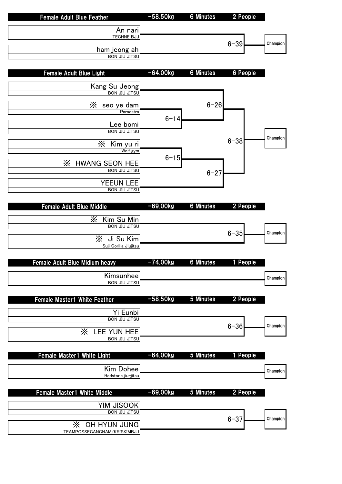|          | 2 People        | <b>6 Minutes</b> | $-58.50kg$ | <b>Female Adult Blue Feather</b>                          |
|----------|-----------------|------------------|------------|-----------------------------------------------------------|
|          |                 |                  |            | An nari                                                   |
|          |                 |                  |            | <b>TECHNE BJJ</b>                                         |
| Champion | $6 - 39$        |                  |            | ham jeong ah                                              |
|          |                 |                  |            | <b>BON JIU JITSU</b>                                      |
|          |                 |                  |            |                                                           |
|          | <b>6 People</b> | <b>6 Minutes</b> | $-64.00kg$ | <b>Female Adult Blue Light</b>                            |
|          |                 |                  |            | Kang Su Jeong                                             |
|          |                 |                  |            | <b>BON JIU JITSU</b>                                      |
|          |                 | $6 - 26$         |            | X<br>seo ye dam                                           |
|          |                 |                  |            | Paraestra                                                 |
|          |                 |                  | $6 - 14$   | Lee bomi                                                  |
|          |                 |                  |            | <b>BON JIU JITSU</b>                                      |
| Champion | $6 - 38$        |                  |            |                                                           |
|          |                 |                  |            | X<br>Kim yu ri<br>Wolf gym                                |
|          |                 |                  | $6 - 15$   |                                                           |
|          |                 |                  |            | $\times$<br><b>HWANG SEON HEE</b><br><b>BON JIU JITSU</b> |
|          |                 | $6 - 27$         |            |                                                           |
|          |                 |                  |            | <b>YEEUN LEE</b>                                          |
|          |                 |                  |            | <b>BON JIU JITSU</b>                                      |
|          | 2 People        | <b>6 Minutes</b> | $-69.00kg$ | <b>Female Adult Blue Middle</b>                           |
|          |                 |                  |            |                                                           |
|          |                 |                  |            | X<br>Kim Su Min<br><b>BON JIU JITSU</b>                   |
| Champion | $6 - 35$        |                  |            |                                                           |
|          |                 |                  |            | X Ji Su Kim                                               |
|          |                 |                  |            | Suji Gorilla Jiujitsu                                     |
|          | 1 People        | <b>6 Minutes</b> | $-74.00kg$ | Female Adult Blue Midium heavy                            |
|          |                 |                  |            |                                                           |
| Champion |                 |                  |            | Kimsunhee<br><b>BON JIU JITSU</b>                         |
|          |                 |                  |            |                                                           |
|          | 2 People        | 5 Minutes        | $-58.50kg$ | <b>Female Master1 White Feather</b>                       |
|          |                 |                  |            |                                                           |
|          |                 |                  |            | Yi Eunbi<br><b>BON JIU JITSU</b>                          |
| Champion | $6 - 36$        |                  |            |                                                           |
|          |                 |                  |            | X<br>LEE YUN HEE<br><b>BON JIU JITSU</b>                  |
|          |                 |                  |            |                                                           |
|          | 1 People        | 5 Minutes        | $-64.00kg$ | Female Master1 White Light                                |
|          |                 |                  |            |                                                           |
| Champion |                 |                  |            | Kim Dohee                                                 |
|          |                 |                  |            | Redstone jiu-jitsu                                        |
|          | 2 People        | 5 Minutes        | $-69.00kg$ | <b>Female Master1 White Middle</b>                        |
|          |                 |                  |            |                                                           |
|          |                 |                  |            | <b>YIM JISOOK</b><br><b>BON JIU JITSU</b>                 |
| Champion | $6 - 37$        |                  |            |                                                           |
|          |                 |                  |            | <b>X OH HYUN JUNG</b>                                     |
|          |                 |                  |            | TEAMPOSSEGANGNAM/KRISKIMBJJ                               |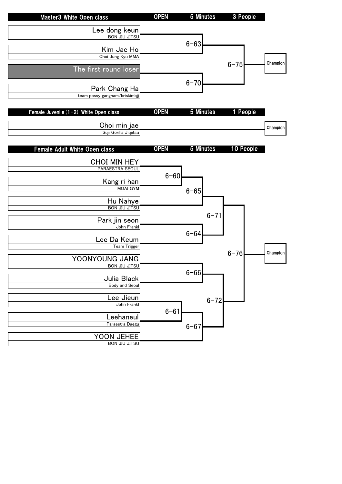